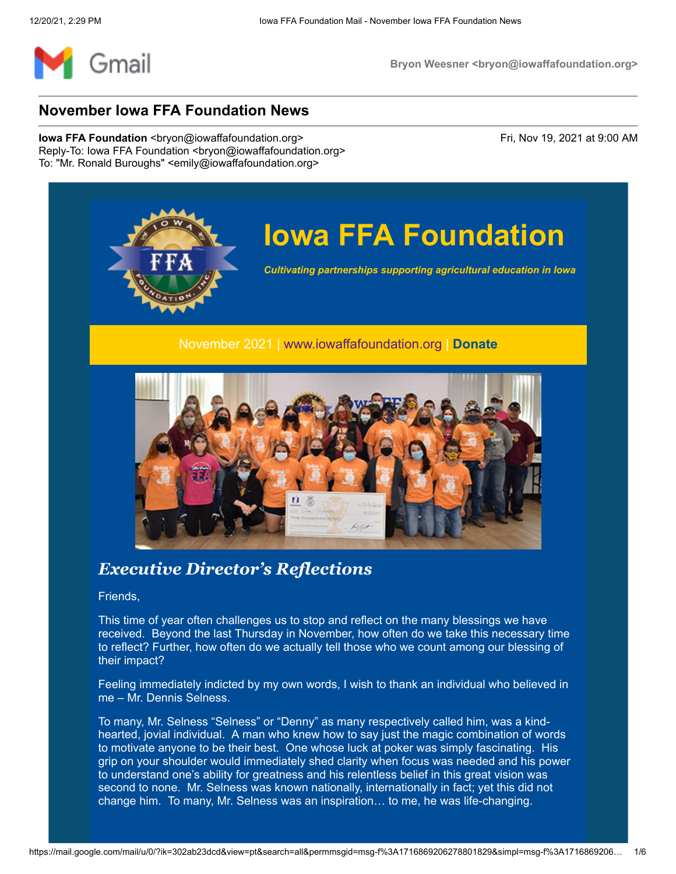

# **Iowa FFA Foundation**

*Cultivating partnerships supporting agricultural education in Iowa*

#### November 2021 | [www.iowaffafoundation.org](http://www.iowaffafoundation.org/) | **[Donate](https://eml-pusa01.app.blackbaud.net/intv2/j/D5E68B30-5627-4EDC-B68B-1ED686999477/r/D5E68B30-5627-4EDC-B68B-1ED686999477_30cf2224-a05a-499b-ad8d-e1f78c7704a8/l/D5602B14-365B-4A97-A035-F6C704D93631/c)**



## *Executive Director's Reflections*

Friends,

This time of year often challenges us to stop and reflect on the many blessings we have received. Beyond the last Thursday in November, how often do we take this necessary time to reflect? Further, how often do we actually tell those who we count among our blessing of their impact?

Feeling immediately indicted by my own words, I wish to thank an individual who believed in me – Mr. Dennis Selness.

To many, Mr. Selness "Selness" or "Denny" as many respectively called him, was a kindhearted, jovial individual. A man who knew how to say just the magic combination of words to motivate anyone to be their best. One whose luck at poker was simply fascinating. His grip on your shoulder would immediately shed clarity when focus was needed and his power to understand one's ability for greatness and his relentless belief in this great vision was second to none. Mr. Selness was known nationally, internationally in fact; yet this did not change him. To many, Mr. Selness was an inspiration… to me, he was life-changing.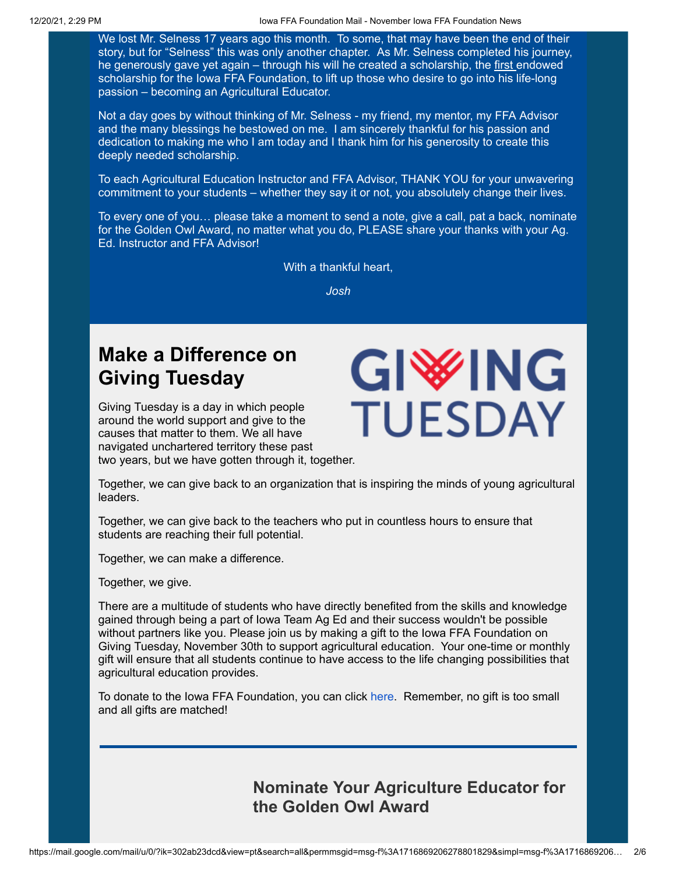We lost Mr. Selness 17 years ago this month. To some, that may have been the end of their story, but for "Selness" this was only another chapter. As Mr. Selness completed his journey, he generously gave yet again – through his will he created a scholarship, the first endowed scholarship for the Iowa FFA Foundation, to lift up those who desire to go into his life-long passion – becoming an Agricultural Educator.

Not a day goes by without thinking of Mr. Selness - my friend, my mentor, my FFA Advisor and the many blessings he bestowed on me. I am sincerely thankful for his passion and dedication to making me who I am today and I thank him for his generosity to create this deeply needed scholarship.

To each Agricultural Education Instructor and FFA Advisor, THANK YOU for your unwavering commitment to your students – whether they say it or not, you absolutely change their lives.

To every one of you… please take a moment to send a note, give a call, pat a back, nominate for the Golden Owl Award, no matter what you do, PLEASE share your thanks with your Ag. Ed. Instructor and FFA Advisor!

With a thankful heart,

*Josh*

## **Make a Difference on Giving Tuesday**

Giving Tuesday is a day in which people around the world support and give to the causes that matter to them. We all have navigated unchartered territory these past two years, but we have gotten through it, together.



Together, we can give back to an organization that is inspiring the minds of young agricultural leaders.

Together, we can give back to the teachers who put in countless hours to ensure that students are reaching their full potential.

Together, we can make a difference.

Together, we give.

There are a multitude of students who have directly benefited from the skills and knowledge gained through being a part of Iowa Team Ag Ed and their success wouldn't be possible without partners like you. Please join us by making a gift to the Iowa FFA Foundation on Giving Tuesday, November 30th to support agricultural education. Your one-time or monthly gift will ensure that all students continue to have access to the life changing possibilities that agricultural education provides.

To donate to the Iowa FFA Foundation, you can click [here.](https://eml-pusa01.app.blackbaud.net/intv2/j/D5E68B30-5627-4EDC-B68B-1ED686999477/r/D5E68B30-5627-4EDC-B68B-1ED686999477_30cf2224-a05a-499b-ad8d-e1f78c7704a8/l/6434182C-C7F9-4545-B35C-40753BE9C041/c) Remember, no gift is too small and all gifts are matched!

> **Nominate Your Agriculture Educator for the Golden Owl Award**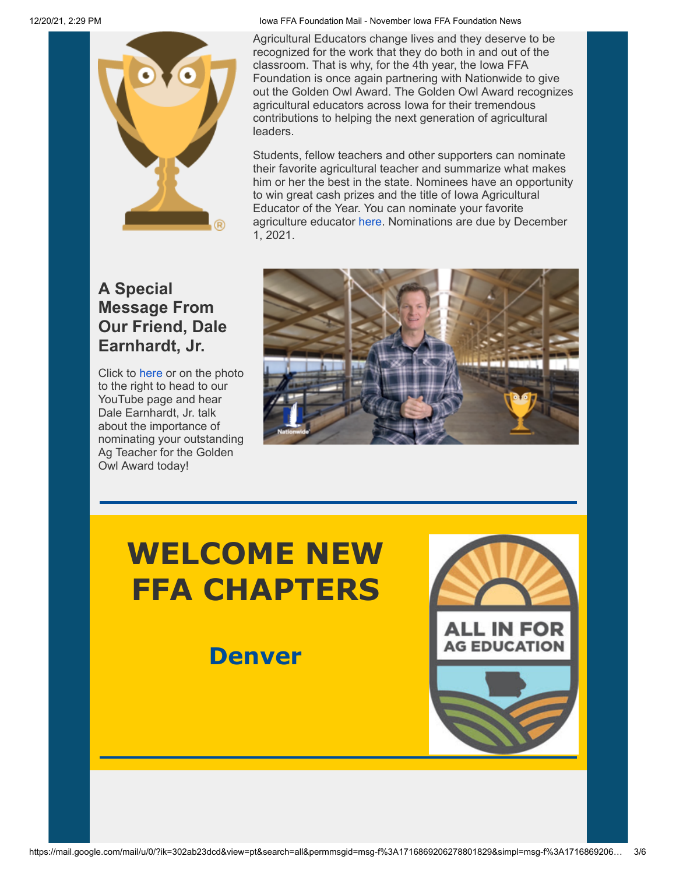

## **A Special Message From Our Friend, Dale Earnhardt, Jr.**

Click to [here](https://eml-pusa01.app.blackbaud.net/intv2/j/D5E68B30-5627-4EDC-B68B-1ED686999477/r/D5E68B30-5627-4EDC-B68B-1ED686999477_30cf2224-a05a-499b-ad8d-e1f78c7704a8/l/9902D0E7-AA65-4060-A6AC-A3DF32A3A845/c) or on the photo to the right to head to our YouTube page and hear Dale Earnhardt, Jr. talk about the importance of nominating your outstanding Ag Teacher for the Golden Owl Award today!

Agricultural Educators change lives and they deserve to be recognized for the work that they do both in and out of the classroom. That is why, for the 4th year, the Iowa FFA Foundation is once again partnering with Nationwide to give out the Golden Owl Award. The Golden Owl Award recognizes agricultural educators across Iowa for their tremendous contributions to helping the next generation of agricultural **leaders** 

Students, fellow teachers and other supporters can nominate their favorite agricultural teacher and summarize what makes him or her the best in the state. Nominees have an opportunity to win great cash prizes and the title of Iowa Agricultural Educator of the Year. You can nominate your favorite agriculture educator [here.](https://eml-pusa01.app.blackbaud.net/intv2/j/D5E68B30-5627-4EDC-B68B-1ED686999477/r/D5E68B30-5627-4EDC-B68B-1ED686999477_30cf2224-a05a-499b-ad8d-e1f78c7704a8/l/9B90545C-B0E5-426C-AD03-448CC0575228/c) Nominations are due by December 1, 2021.



# **WELCOME NEW FFA CHAPTERS**

**Denver**

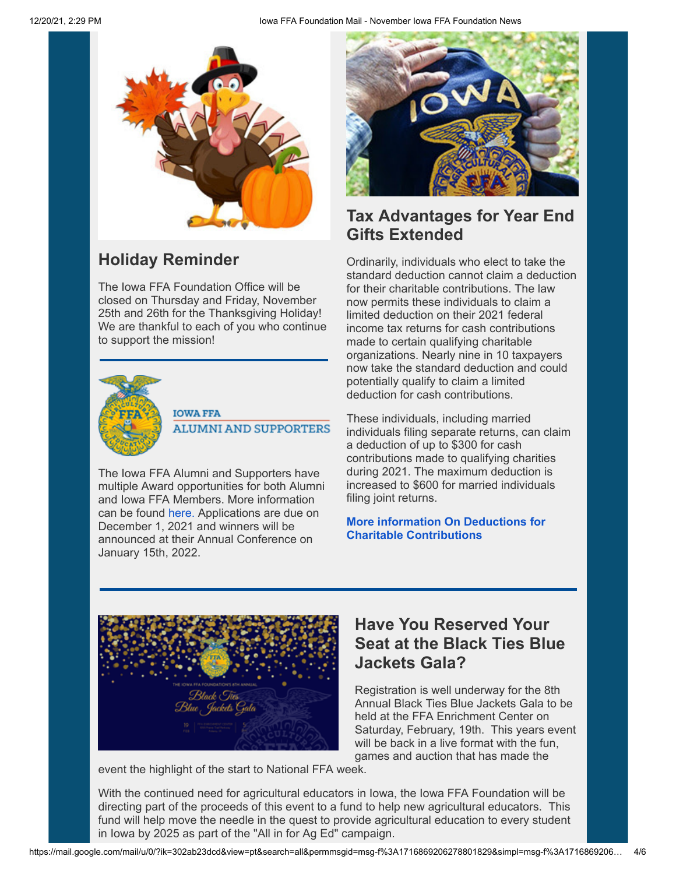

## **Holiday Reminder**

The Iowa FFA Foundation Office will be closed on Thursday and Friday, November 25th and 26th for the Thanksgiving Holiday! We are thankful to each of you who continue to support the mission!



#### **IOWA FFA ALUMNI AND SUPPORTERS**

The Iowa FFA Alumni and Supporters have multiple Award opportunities for both Alumni and Iowa FFA Members. More information can be found [here.](https://eml-pusa01.app.blackbaud.net/intv2/j/D5E68B30-5627-4EDC-B68B-1ED686999477/r/D5E68B30-5627-4EDC-B68B-1ED686999477_30cf2224-a05a-499b-ad8d-e1f78c7704a8/l/C5D2C185-F3EF-40C8-A1CE-88630CA415C6/c) Applications are due on December 1, 2021 and winners will be announced at their Annual Conference on January 15th, 2022.



## **Tax Advantages for Year End Gifts Extended**

Ordinarily, individuals who elect to take the standard deduction cannot claim a deduction for their charitable contributions. The law now permits these individuals to claim a limited deduction on their 2021 federal income tax returns for cash contributions made to certain qualifying charitable organizations. Nearly nine in 10 taxpayers now take the standard deduction and could potentially qualify to claim a limited deduction for cash contributions.

These individuals, including married individuals filing separate returns, can claim a deduction of up to \$300 for cash contributions made to qualifying charities during 2021. The maximum deduction is increased to \$600 for married individuals filing joint returns.

#### **[More information On Deductions for](https://eml-pusa01.app.blackbaud.net/intv2/j/D5E68B30-5627-4EDC-B68B-1ED686999477/r/D5E68B30-5627-4EDC-B68B-1ED686999477_30cf2224-a05a-499b-ad8d-e1f78c7704a8/l/F62B1052-A032-4CA1-B2B1-D8C5A50DB2F8/c) Charitable Contributions**



## **Have You Reserved Your Seat at the Black Ties Blue Jackets Gala?**

Registration is well underway for the 8th Annual Black Ties Blue Jackets Gala to be held at the FFA Enrichment Center on Saturday, February, 19th. This years event will be back in a live format with the fun. games and auction that has made the

event the highlight of the start to National FFA week.

With the continued need for agricultural educators in Iowa, the Iowa FFA Foundation will be directing part of the proceeds of this event to a fund to help new agricultural educators. This fund will help move the needle in the quest to provide agricultural education to every student in Iowa by 2025 as part of the "All in for Ag Ed" campaign.